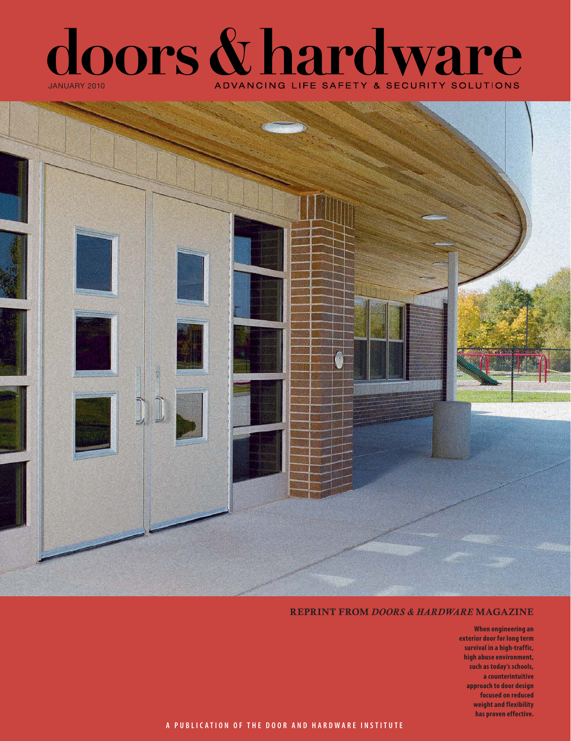



#### REPRINT FROM *DOORS & HARDWARE* MAGAZINE

**When engineering an exterior door for long term survival in a high-traffic, high abuse environment, such as today's schools, a counterintuitive approach to door design focused on reduced weight and flexibility has proven effective.**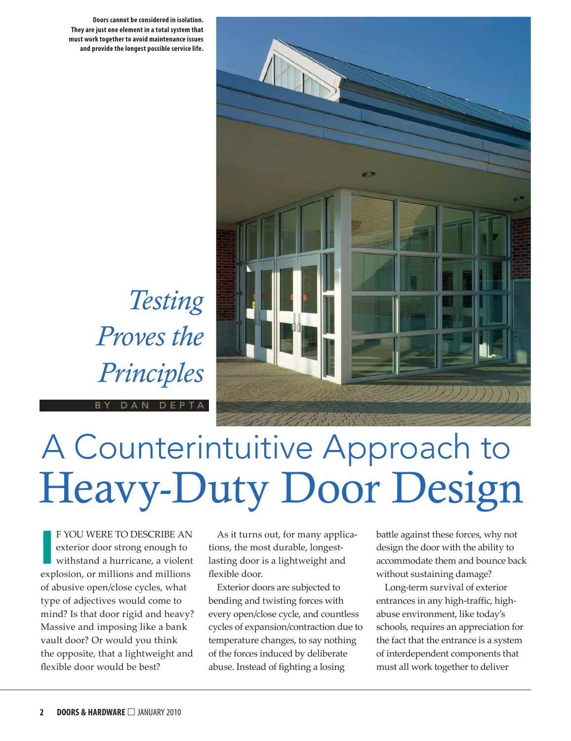**Doors cannot be considered in isolation. They are just one element in a total system that must work together to avoid maintenance issues and provide the longest possible service life.** 

*Testing* 

*Proves the* 

*Principles*

DAN DEPTA



# Heavy-Duty Door Design A Counterintuitive Approach to

**I** F YOU WERE TO DESCRIBE AN exterior door strong enough to withstand a hurricane, a violent explosion, or millions and millions of abusive open/close cycles, what type of adjectives would come to mind? Is that door rigid and heavy? Massive and imposing like a bank vault door? Or would you think the opposite, that a lightweight and flexible door would be best?

As it turns out, for many applications, the most durable, longestlasting door is a lightweight and flexible door.

Exterior doors are subjected to bending and twisting forces with every open/close cycle, and countless cycles of expansion/contraction due to temperature changes, to say nothing of the forces induced by deliberate abuse. Instead of fighting a losing

battle against these forces, why not design the door with the ability to accommodate them and bounce back without sustaining damage?

Long-term survival of exterior entrances in any high-traffic, highabuse environment, like today's schools, requires an appreciation for the fact that the entrance is a system of interdependent components that must all work together to deliver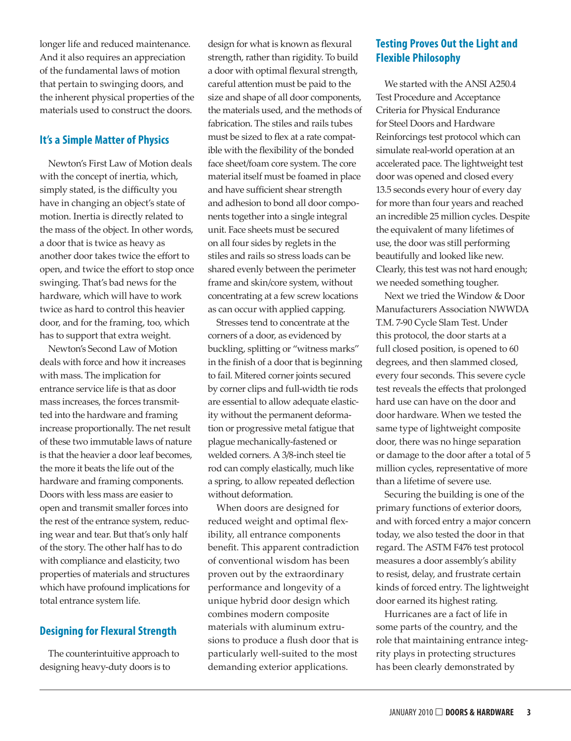longer life and reduced maintenance. And it also requires an appreciation of the fundamental laws of motion that pertain to swinging doors, and the inherent physical properties of the materials used to construct the doors.

### **It's a Simple Matter of Physics**

Newton's First Law of Motion deals with the concept of inertia, which, simply stated, is the difficulty you have in changing an object's state of motion. Inertia is directly related to the mass of the object. In other words, a door that is twice as heavy as another door takes twice the effort to open, and twice the effort to stop once swinging. That's bad news for the hardware, which will have to work twice as hard to control this heavier door, and for the framing, too, which has to support that extra weight.

Newton's Second Law of Motion deals with force and how it increases with mass. The implication for entrance service life is that as door mass increases, the forces transmitted into the hardware and framing increase proportionally. The net result of these two immutable laws of nature is that the heavier a door leaf becomes, the more it beats the life out of the hardware and framing components. Doors with less mass are easier to open and transmit smaller forces into the rest of the entrance system, reducing wear and tear. But that's only half of the story. The other half has to do with compliance and elasticity, two properties of materials and structures which have profound implications for total entrance system life.

## **Designing for Flexural Strength**

The counterintuitive approach to designing heavy-duty doors is to

design for what is known as flexural strength, rather than rigidity. To build a door with optimal flexural strength, careful attention must be paid to the size and shape of all door components, the materials used, and the methods of fabrication. The stiles and rails tubes must be sized to flex at a rate compatible with the flexibility of the bonded face sheet/foam core system. The core material itself must be foamed in place and have sufficient shear strength and adhesion to bond all door components together into a single integral unit. Face sheets must be secured on all four sides by reglets in the stiles and rails so stress loads can be shared evenly between the perimeter frame and skin/core system, without concentrating at a few screw locations as can occur with applied capping.

Stresses tend to concentrate at the corners of a door, as evidenced by buckling, splitting or "witness marks" in the finish of a door that is beginning to fail. Mitered corner joints secured by corner clips and full-width tie rods are essential to allow adequate elasticity without the permanent deformation or progressive metal fatigue that plague mechanically-fastened or welded corners. A 3/8-inch steel tie rod can comply elastically, much like a spring, to allow repeated deflection without deformation.

When doors are designed for reduced weight and optimal flexibility, all entrance components benefit. This apparent contradiction of conventional wisdom has been proven out by the extraordinary performance and longevity of a unique hybrid door design which combines modern composite materials with aluminum extrusions to produce a flush door that is particularly well-suited to the most demanding exterior applications.

## **Testing Proves Out the Light and Flexible Philosophy**

We started with the ANSI A250.4 Test Procedure and Acceptance Criteria for Physical Endurance for Steel Doors and Hardware Reinforcings test protocol which can simulate real-world operation at an accelerated pace. The lightweight test door was opened and closed every 13.5 seconds every hour of every day for more than four years and reached an incredible 25 million cycles. Despite the equivalent of many lifetimes of use, the door was still performing beautifully and looked like new. Clearly, this test was not hard enough; we needed something tougher.

Next we tried the Window & Door Manufacturers Association NWWDA T.M. 7-90 Cycle Slam Test. Under this protocol, the door starts at a full closed position, is opened to 60 degrees, and then slammed closed, every four seconds. This severe cycle test reveals the effects that prolonged hard use can have on the door and door hardware. When we tested the same type of lightweight composite door, there was no hinge separation or damage to the door after a total of 5 million cycles, representative of more than a lifetime of severe use.

Securing the building is one of the primary functions of exterior doors, and with forced entry a major concern today, we also tested the door in that regard. The ASTM F476 test protocol measures a door assembly's ability to resist, delay, and frustrate certain kinds of forced entry. The lightweight door earned its highest rating.

Hurricanes are a fact of life in some parts of the country, and the role that maintaining entrance integrity plays in protecting structures has been clearly demonstrated by